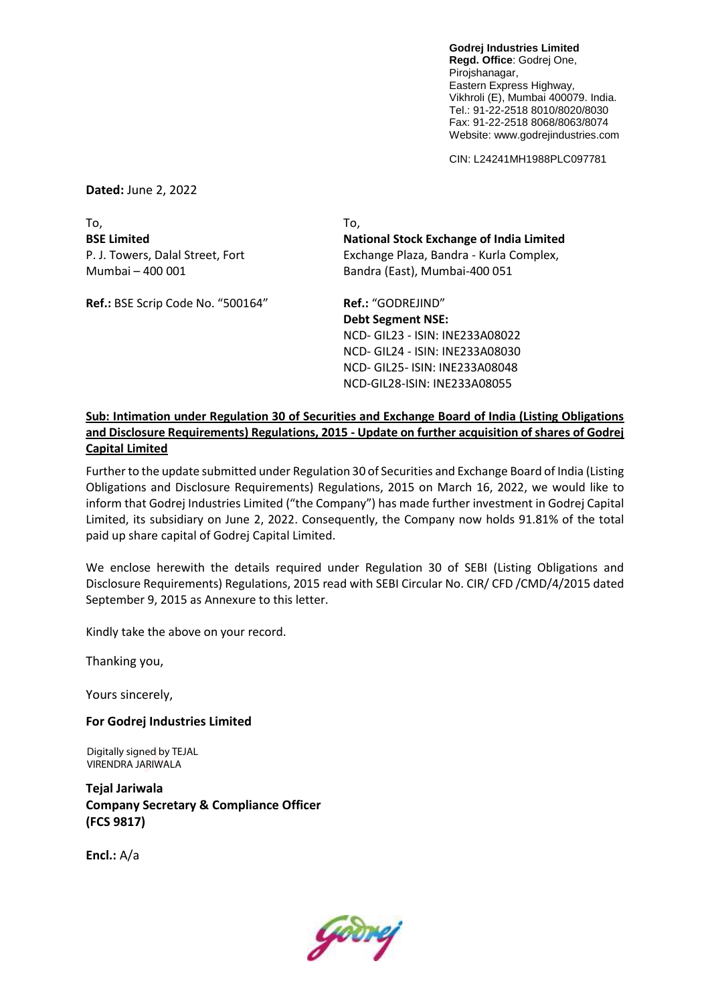**Godrej Industries Limited Regd. Office**: Godrej One, Pirojshanagar, Eastern Express Highway, Vikhroli (E), Mumbai 400079. India. Tel.: 91-22-2518 8010/8020/8030 Fax: 91-22-2518 8068/8063/8074 Website: www.godrejindustries.com

CIN: L24241MH1988PLC097781

**Dated:** June 2, 2022

To, To, Mumbai – 400 001 Bandra (East), Mumbai-400 051

Ref.: BSE Scrip Code No. "500164" **Ref.:** "GODREJIND"

**BSE Limited National Stock Exchange of India Limited** P. J. Towers, Dalal Street, Fort Exchange Plaza, Bandra - Kurla Complex,

> **Debt Segment NSE:** NCD- GIL23 - ISIN: INE233A08022 NCD- GIL24 - ISIN: INE233A08030 NCD- GIL25- ISIN: INE233A08048 NCD-GIL28-ISIN: INE233A08055

## **Sub: Intimation under Regulation 30 of Securities and Exchange Board of India (Listing Obligations and Disclosure Requirements) Regulations, 2015 - Update on further acquisition of shares of Godrej Capital Limited**

Further to the update submitted under Regulation 30 of Securities and Exchange Board of India (Listing Obligations and Disclosure Requirements) Regulations, 2015 on March 16, 2022, we would like to inform that Godrej Industries Limited ("the Company") has made further investment in Godrej Capital Limited, its subsidiary on June 2, 2022. Consequently, the Company now holds 91.81% of the total paid up share capital of Godrej Capital Limited.

We enclose herewith the details required under Regulation 30 of SEBI (Listing Obligations and Disclosure Requirements) Regulations, 2015 read with SEBI Circular No. CIR/ CFD /CMD/4/2015 dated September 9, 2015 as Annexure to this letter.

Kindly take the above on your record.

Thanking you,

Yours sincerely,

## **For Godrej Industries Limited**

Digitally signed by TEJAL VIRENDRA JARIWALA

**Tejal Jariwala Company Secretary & Compliance Officer (FCS 9817)**

**Encl.:** A/a

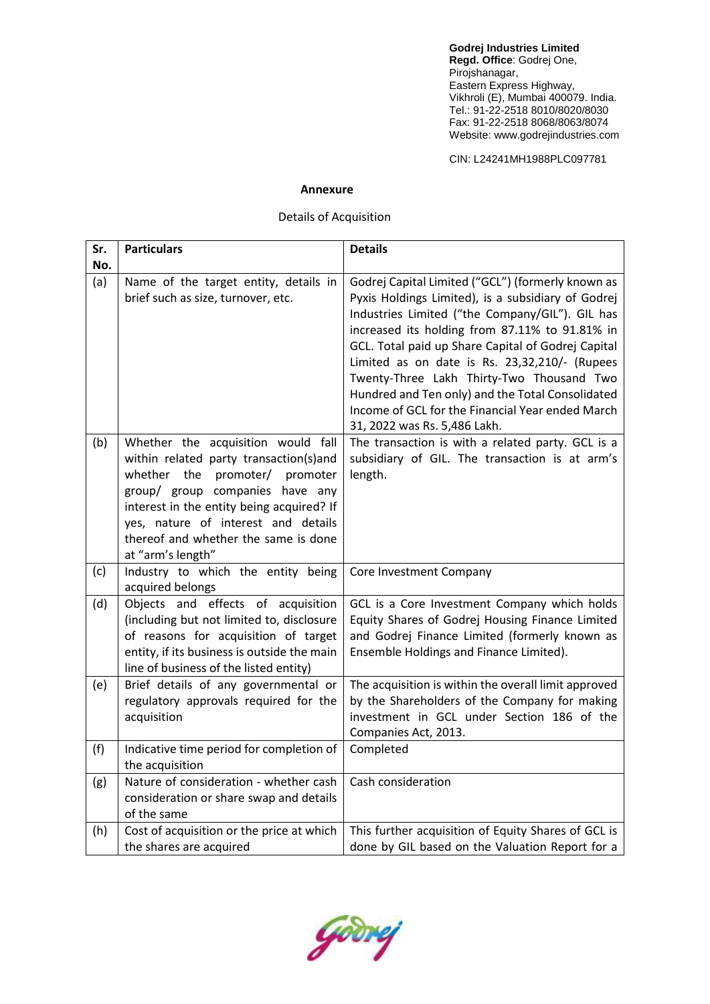**Godrej Industries Limited Regd. Office**: Godrej One, Pirojshanagar, Eastern Express Highway, Vikhroli (E), Mumbai 400079. India. Tel.: 91-22-2518 8010/8020/8030 Fax: 91-22-2518 8068/8063/8074 Website: www.godrejindustries.com

CIN: L24241MH1988PLC097781

## **Annexure**

## Details of Acquisition

| Sr. | <b>Particulars</b>                                                                                                                                                                                                                                                                                    | <b>Details</b>                                                                                                                                                                                                                                                                                                                                                                                                                                                                                           |
|-----|-------------------------------------------------------------------------------------------------------------------------------------------------------------------------------------------------------------------------------------------------------------------------------------------------------|----------------------------------------------------------------------------------------------------------------------------------------------------------------------------------------------------------------------------------------------------------------------------------------------------------------------------------------------------------------------------------------------------------------------------------------------------------------------------------------------------------|
| No. |                                                                                                                                                                                                                                                                                                       |                                                                                                                                                                                                                                                                                                                                                                                                                                                                                                          |
| (a) | Name of the target entity, details in<br>brief such as size, turnover, etc.                                                                                                                                                                                                                           | Godrej Capital Limited ("GCL") (formerly known as<br>Pyxis Holdings Limited), is a subsidiary of Godrej<br>Industries Limited ("the Company/GIL"). GIL has<br>increased its holding from 87.11% to 91.81% in<br>GCL. Total paid up Share Capital of Godrej Capital<br>Limited as on date is Rs. 23,32,210/- (Rupees<br>Twenty-Three Lakh Thirty-Two Thousand Two<br>Hundred and Ten only) and the Total Consolidated<br>Income of GCL for the Financial Year ended March<br>31, 2022 was Rs. 5,486 Lakh. |
| (b) | Whether the acquisition would fall<br>within related party transaction(s)and<br>whether the promoter/<br>promoter<br>group/ group companies have any<br>interest in the entity being acquired? If<br>yes, nature of interest and details<br>thereof and whether the same is done<br>at "arm's length" | The transaction is with a related party. GCL is a<br>subsidiary of GIL. The transaction is at arm's<br>length.                                                                                                                                                                                                                                                                                                                                                                                           |
| (c) | Industry to which the entity being<br>acquired belongs                                                                                                                                                                                                                                                | Core Investment Company                                                                                                                                                                                                                                                                                                                                                                                                                                                                                  |
| (d) | Objects and effects of acquisition<br>(including but not limited to, disclosure<br>of reasons for acquisition of target<br>entity, if its business is outside the main<br>line of business of the listed entity)                                                                                      | GCL is a Core Investment Company which holds<br>Equity Shares of Godrej Housing Finance Limited<br>and Godrej Finance Limited (formerly known as<br>Ensemble Holdings and Finance Limited).                                                                                                                                                                                                                                                                                                              |
| (e) | Brief details of any governmental or<br>regulatory approvals required for the<br>acquisition                                                                                                                                                                                                          | The acquisition is within the overall limit approved<br>by the Shareholders of the Company for making<br>investment in GCL under Section 186 of the<br>Companies Act, 2013.                                                                                                                                                                                                                                                                                                                              |
| (f) | Indicative time period for completion of<br>the acquisition                                                                                                                                                                                                                                           | Completed                                                                                                                                                                                                                                                                                                                                                                                                                                                                                                |
| (g) | Nature of consideration - whether cash<br>consideration or share swap and details<br>of the same                                                                                                                                                                                                      | Cash consideration                                                                                                                                                                                                                                                                                                                                                                                                                                                                                       |
| (h) | Cost of acquisition or the price at which<br>the shares are acquired                                                                                                                                                                                                                                  | This further acquisition of Equity Shares of GCL is<br>done by GIL based on the Valuation Report for a                                                                                                                                                                                                                                                                                                                                                                                                   |